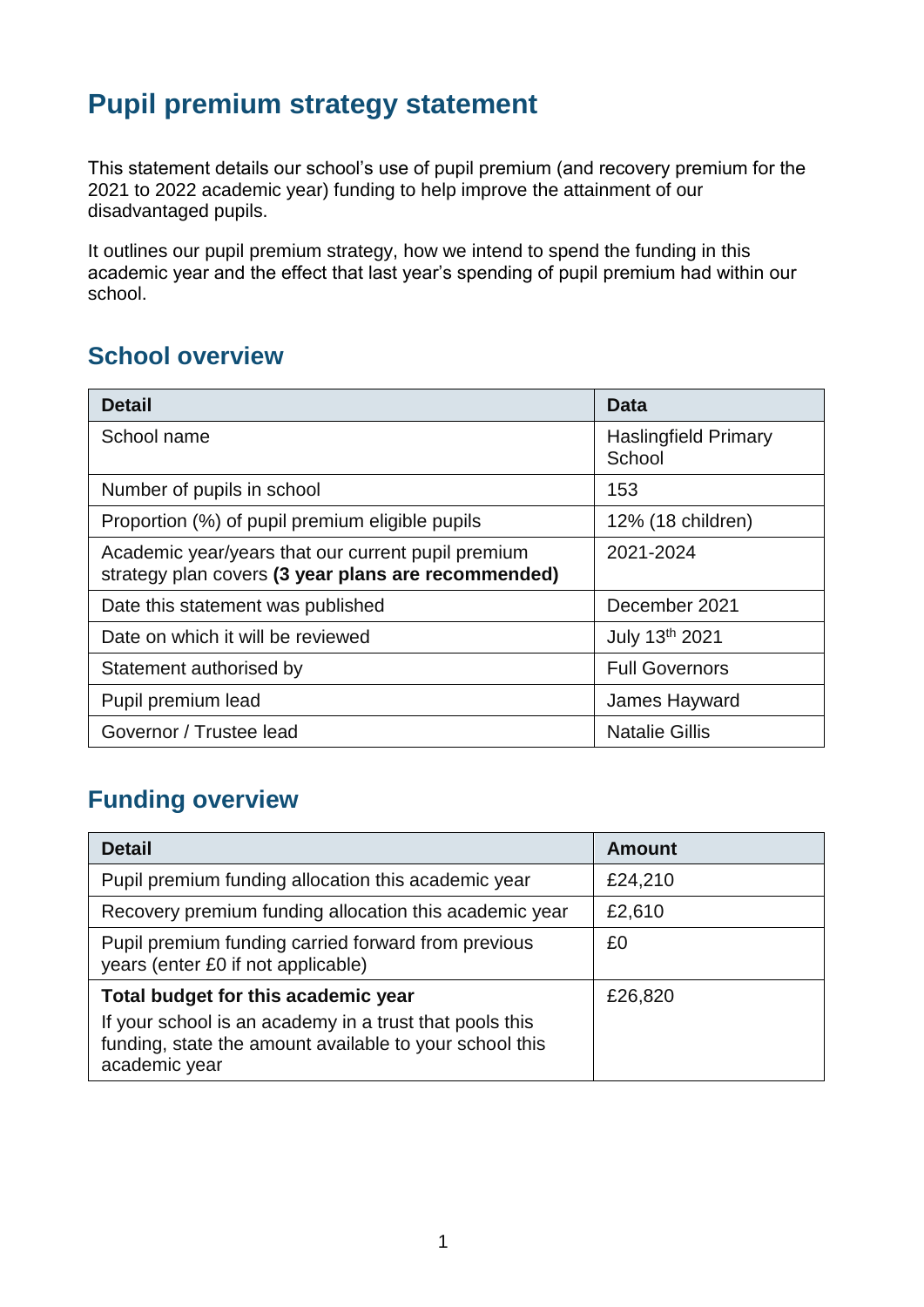# **Pupil premium strategy statement**

This statement details our school's use of pupil premium (and recovery premium for the 2021 to 2022 academic year) funding to help improve the attainment of our disadvantaged pupils.

It outlines our pupil premium strategy, how we intend to spend the funding in this academic year and the effect that last year's spending of pupil premium had within our school.

## **School overview**

| <b>Detail</b>                                                                                             | Data                                  |
|-----------------------------------------------------------------------------------------------------------|---------------------------------------|
| School name                                                                                               | <b>Haslingfield Primary</b><br>School |
| Number of pupils in school                                                                                | 153                                   |
| Proportion (%) of pupil premium eligible pupils                                                           | 12% (18 children)                     |
| Academic year/years that our current pupil premium<br>strategy plan covers (3 year plans are recommended) | 2021-2024                             |
| Date this statement was published                                                                         | December 2021                         |
| Date on which it will be reviewed                                                                         | July 13th 2021                        |
| Statement authorised by                                                                                   | <b>Full Governors</b>                 |
| Pupil premium lead                                                                                        | James Hayward                         |
| Governor / Trustee lead                                                                                   | <b>Natalie Gillis</b>                 |

# **Funding overview**

| <b>Detail</b>                                                                                                                       | <b>Amount</b> |
|-------------------------------------------------------------------------------------------------------------------------------------|---------------|
| Pupil premium funding allocation this academic year                                                                                 | £24,210       |
| Recovery premium funding allocation this academic year                                                                              | £2,610        |
| Pupil premium funding carried forward from previous<br>years (enter £0 if not applicable)                                           | £0            |
| Total budget for this academic year                                                                                                 | £26,820       |
| If your school is an academy in a trust that pools this<br>funding, state the amount available to your school this<br>academic year |               |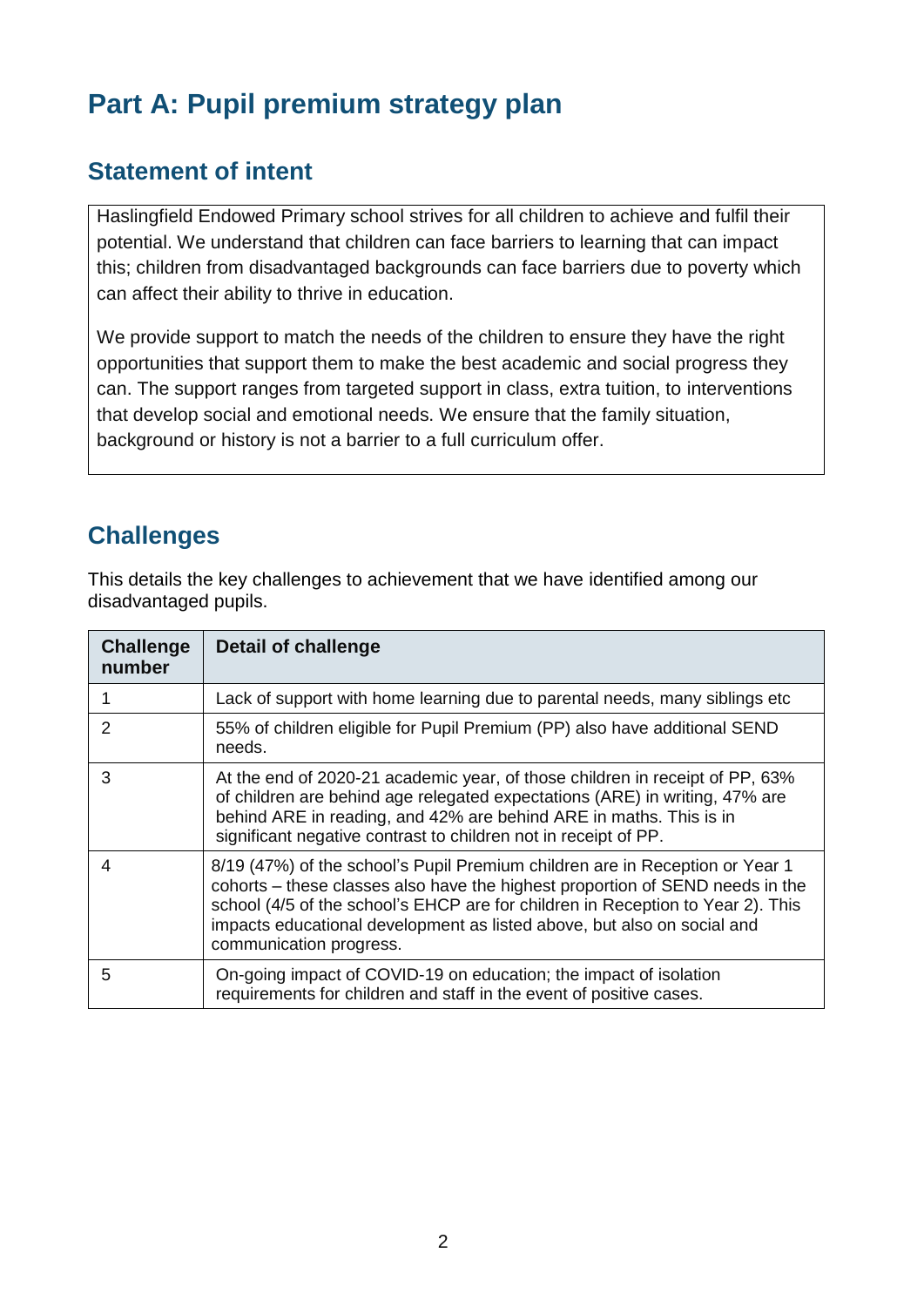# **Part A: Pupil premium strategy plan**

### **Statement of intent**

Haslingfield Endowed Primary school strives for all children to achieve and fulfil their potential. We understand that children can face barriers to learning that can impact this; children from disadvantaged backgrounds can face barriers due to poverty which can affect their ability to thrive in education.

We provide support to match the needs of the children to ensure they have the right opportunities that support them to make the best academic and social progress they can. The support ranges from targeted support in class, extra tuition, to interventions that develop social and emotional needs. We ensure that the family situation, background or history is not a barrier to a full curriculum offer.

## **Challenges**

This details the key challenges to achievement that we have identified among our disadvantaged pupils.

| <b>Challenge</b><br>number | <b>Detail of challenge</b>                                                                                                                                                                                                                                                                                                                             |
|----------------------------|--------------------------------------------------------------------------------------------------------------------------------------------------------------------------------------------------------------------------------------------------------------------------------------------------------------------------------------------------------|
|                            | Lack of support with home learning due to parental needs, many siblings etc                                                                                                                                                                                                                                                                            |
| $\mathcal{P}$              | 55% of children eligible for Pupil Premium (PP) also have additional SEND<br>needs.                                                                                                                                                                                                                                                                    |
| 3                          | At the end of 2020-21 academic year, of those children in receipt of PP, 63%<br>of children are behind age relegated expectations (ARE) in writing, 47% are<br>behind ARE in reading, and 42% are behind ARE in maths. This is in<br>significant negative contrast to children not in receipt of PP.                                                   |
| 4                          | 8/19 (47%) of the school's Pupil Premium children are in Reception or Year 1<br>cohorts – these classes also have the highest proportion of SEND needs in the<br>school (4/5 of the school's EHCP are for children in Reception to Year 2). This<br>impacts educational development as listed above, but also on social and<br>communication progress. |
| 5                          | On-going impact of COVID-19 on education; the impact of isolation<br>requirements for children and staff in the event of positive cases.                                                                                                                                                                                                               |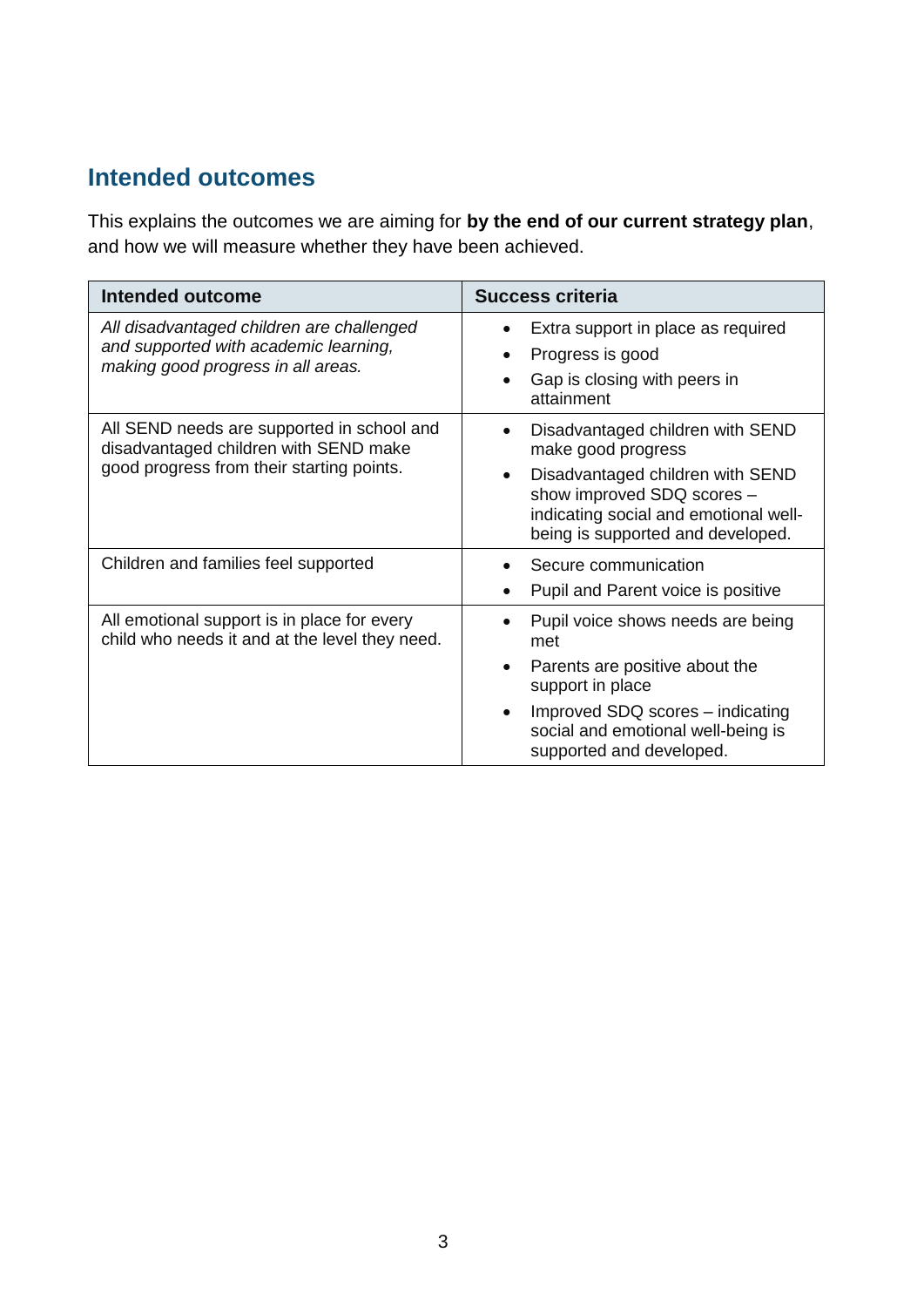## **Intended outcomes**

This explains the outcomes we are aiming for **by the end of our current strategy plan**, and how we will measure whether they have been achieved.

| Intended outcome                                                                                                                 | <b>Success criteria</b>                                                                                                                                                                                                                     |
|----------------------------------------------------------------------------------------------------------------------------------|---------------------------------------------------------------------------------------------------------------------------------------------------------------------------------------------------------------------------------------------|
| All disadvantaged children are challenged<br>and supported with academic learning,<br>making good progress in all areas.         | Extra support in place as required<br>Progress is good<br>Gap is closing with peers in<br>$\bullet$<br>attainment                                                                                                                           |
| All SEND needs are supported in school and<br>disadvantaged children with SEND make<br>good progress from their starting points. | Disadvantaged children with SEND<br>make good progress<br>Disadvantaged children with SEND<br>$\bullet$<br>show improved SDQ scores -<br>indicating social and emotional well-<br>being is supported and developed.                         |
| Children and families feel supported                                                                                             | Secure communication<br>Pupil and Parent voice is positive                                                                                                                                                                                  |
| All emotional support is in place for every<br>child who needs it and at the level they need.                                    | Pupil voice shows needs are being<br>$\bullet$<br>met<br>Parents are positive about the<br>$\bullet$<br>support in place<br>Improved SDQ scores – indicating<br>$\bullet$<br>social and emotional well-being is<br>supported and developed. |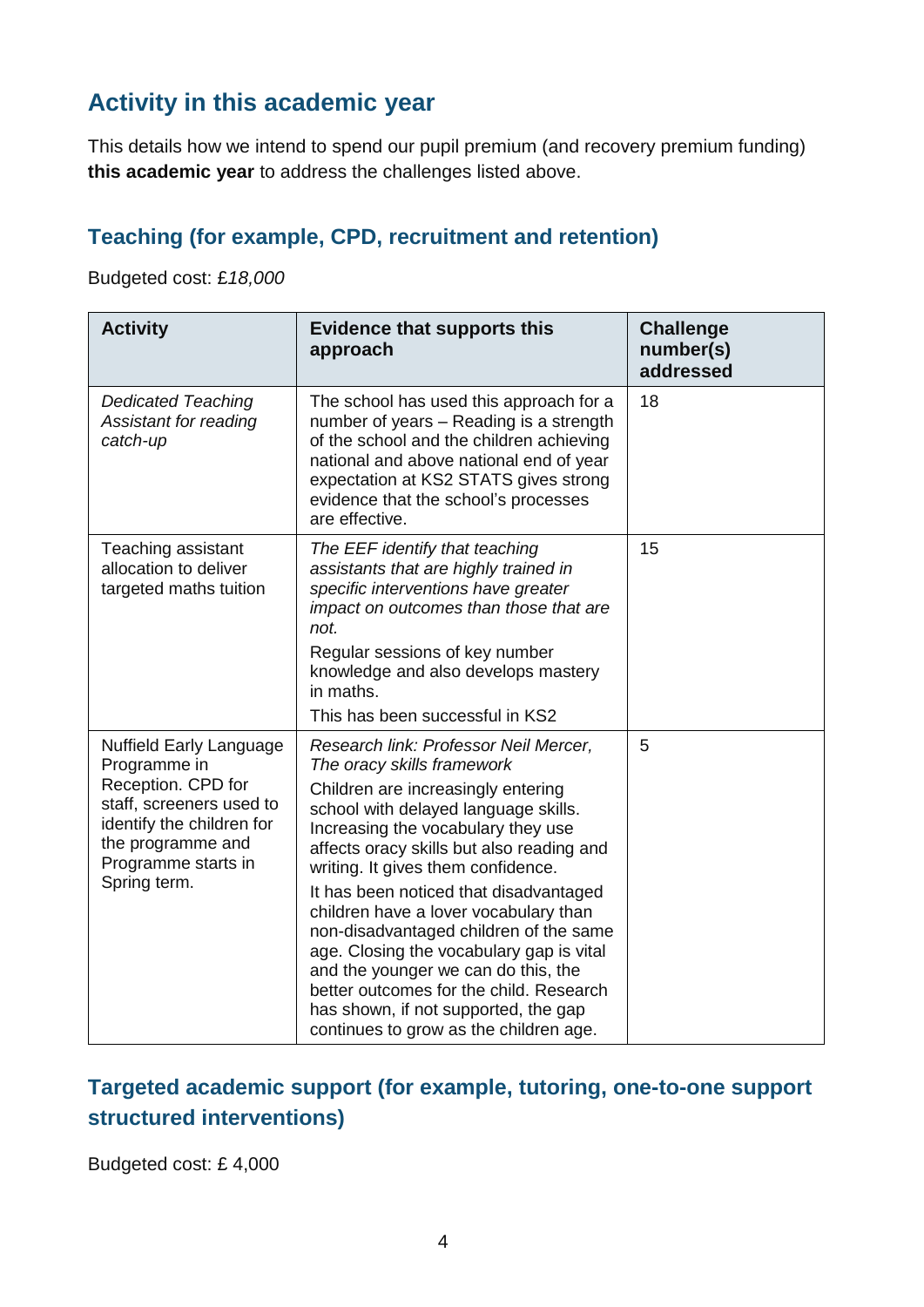## **Activity in this academic year**

This details how we intend to spend our pupil premium (and recovery premium funding) **this academic year** to address the challenges listed above.

#### **Teaching (for example, CPD, recruitment and retention)**

Budgeted cost: £*18,000*

| <b>Activity</b>                                                                                                                                                                           | <b>Evidence that supports this</b><br>approach                                                                                                                                                                                                                                                                                                                                                                                                                                                                                                                                                                          | <b>Challenge</b><br>number(s)<br>addressed |
|-------------------------------------------------------------------------------------------------------------------------------------------------------------------------------------------|-------------------------------------------------------------------------------------------------------------------------------------------------------------------------------------------------------------------------------------------------------------------------------------------------------------------------------------------------------------------------------------------------------------------------------------------------------------------------------------------------------------------------------------------------------------------------------------------------------------------------|--------------------------------------------|
| <b>Dedicated Teaching</b><br>Assistant for reading<br>catch-up                                                                                                                            | The school has used this approach for a<br>number of years - Reading is a strength<br>of the school and the children achieving<br>national and above national end of year<br>expectation at KS2 STATS gives strong<br>evidence that the school's processes<br>are effective.                                                                                                                                                                                                                                                                                                                                            | 18                                         |
| Teaching assistant<br>allocation to deliver<br>targeted maths tuition                                                                                                                     | The EEF identify that teaching<br>assistants that are highly trained in<br>specific interventions have greater<br>impact on outcomes than those that are<br>not.<br>Regular sessions of key number<br>knowledge and also develops mastery<br>in maths.<br>This has been successful in KS2                                                                                                                                                                                                                                                                                                                               | 15                                         |
| <b>Nuffield Early Language</b><br>Programme in<br>Reception. CPD for<br>staff, screeners used to<br>identify the children for<br>the programme and<br>Programme starts in<br>Spring term. | Research link: Professor Neil Mercer,<br>The oracy skills framework<br>Children are increasingly entering<br>school with delayed language skills.<br>Increasing the vocabulary they use<br>affects oracy skills but also reading and<br>writing. It gives them confidence.<br>It has been noticed that disadvantaged<br>children have a lover vocabulary than<br>non-disadvantaged children of the same<br>age. Closing the vocabulary gap is vital<br>and the younger we can do this, the<br>better outcomes for the child. Research<br>has shown, if not supported, the gap<br>continues to grow as the children age. | 5                                          |

#### **Targeted academic support (for example, tutoring, one-to-one support structured interventions)**

Budgeted cost: £ 4,000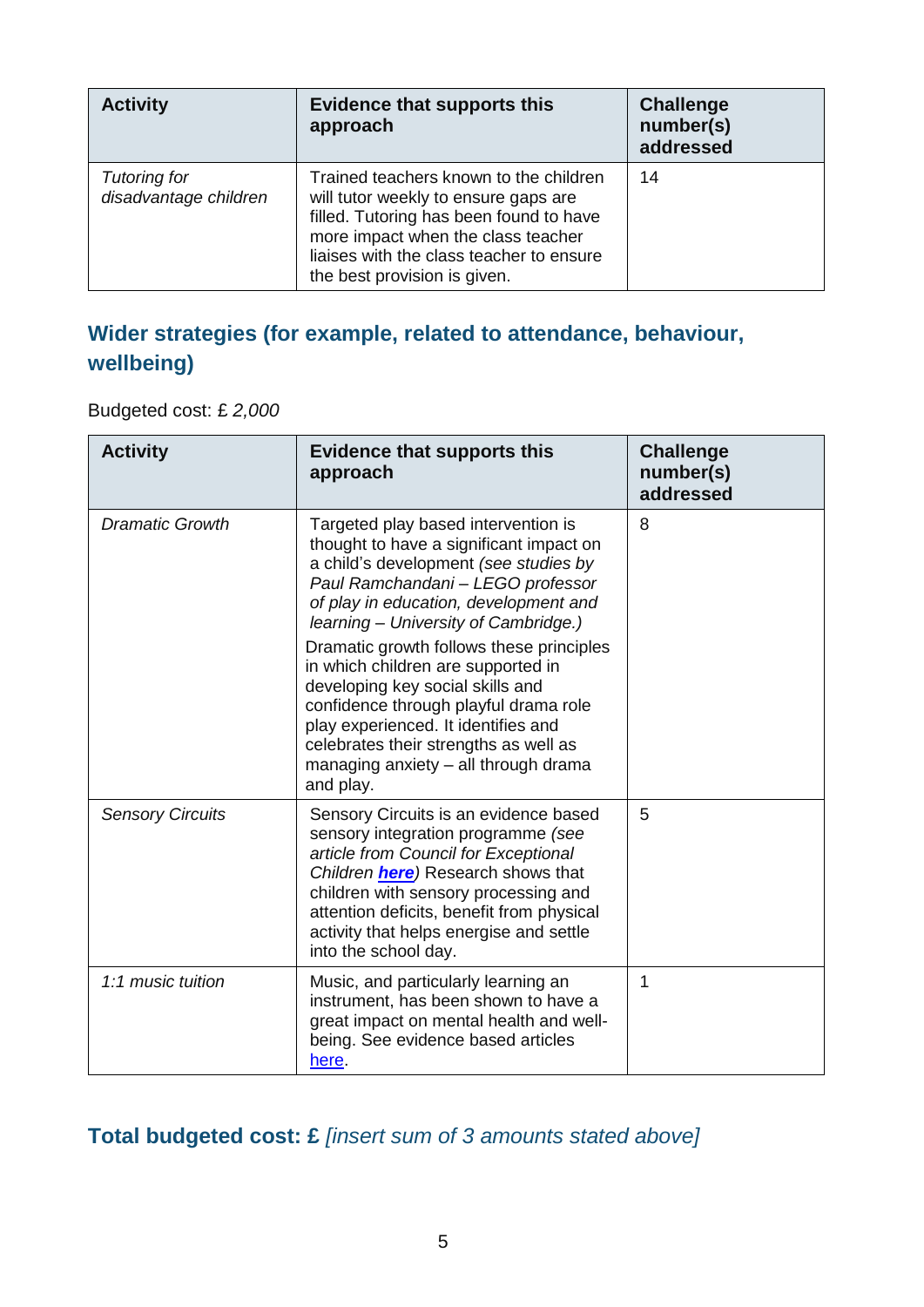| <b>Activity</b>                              | <b>Evidence that supports this</b><br>approach                                                                                                                                                                                              | <b>Challenge</b><br>number(s)<br>addressed |
|----------------------------------------------|---------------------------------------------------------------------------------------------------------------------------------------------------------------------------------------------------------------------------------------------|--------------------------------------------|
| <b>Tutoring for</b><br>disadvantage children | Trained teachers known to the children<br>will tutor weekly to ensure gaps are<br>filled. Tutoring has been found to have<br>more impact when the class teacher<br>liaises with the class teacher to ensure<br>the best provision is given. | 14                                         |

### **Wider strategies (for example, related to attendance, behaviour, wellbeing)**

#### Budgeted cost: £ *2,000*

| <b>Activity</b>         | <b>Evidence that supports this</b><br>approach                                                                                                                                                                                                                                                                            | <b>Challenge</b><br>number(s)<br>addressed |
|-------------------------|---------------------------------------------------------------------------------------------------------------------------------------------------------------------------------------------------------------------------------------------------------------------------------------------------------------------------|--------------------------------------------|
| <b>Dramatic Growth</b>  | Targeted play based intervention is<br>thought to have a significant impact on<br>a child's development (see studies by<br>Paul Ramchandani - LEGO professor<br>of play in education, development and<br>learning - University of Cambridge.)                                                                             | 8                                          |
|                         | Dramatic growth follows these principles<br>in which children are supported in<br>developing key social skills and<br>confidence through playful drama role<br>play experienced. It identifies and<br>celebrates their strengths as well as<br>managing anxiety $-$ all through drama<br>and play.                        |                                            |
| <b>Sensory Circuits</b> | Sensory Circuits is an evidence based<br>sensory integration programme (see<br>article from Council for Exceptional<br>Children <b>here</b> ) Research shows that<br>children with sensory processing and<br>attention deficits, benefit from physical<br>activity that helps energise and settle<br>into the school day. | 5                                          |
| 1:1 music tuition       | Music, and particularly learning an<br>instrument, has been shown to have a<br>great impact on mental health and well-<br>being. See evidence based articles<br>here.                                                                                                                                                     | 1                                          |

### **Total budgeted cost: £** *[insert sum of 3 amounts stated above]*